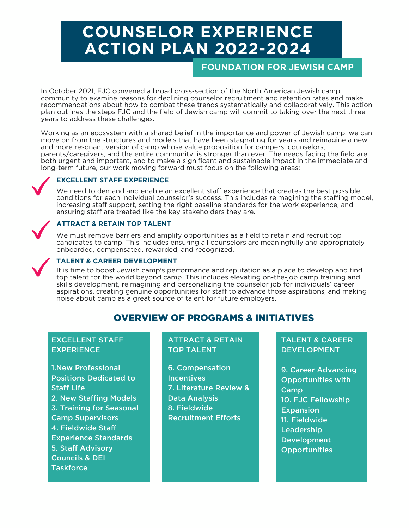# **COUNSELOR EXPERIENCE ACTION PLAN 2022-2024**

**FOUNDATION FOR JEWISH CAMP**

In October 2021, FJC convened a broad cross-section of the North American Jewish camp community to examine reasons for declining counselor recruitment and retention rates and make recommendations about how to combat these trends systematically and collaboratively. This action plan outlines the steps FJC and the field of Jewish camp will commit to taking over the next three years to address these challenges.

Working as an ecosystem with a shared belief in the importance and power of Jewish camp, we can move on from the structures and models that have been stagnating for years and reimagine a new and more resonant version of camp whose value proposition for campers, counselors, parents/caregivers, and the entire community, is stronger than ever. The needs facing the field are both urgent and important, and to make a significant and sustainable impact in the immediate and long-term future, our work moving forward must focus on the following areas:

## **EXCELLENT STAFF EXPERIENCE**

We need to demand and enable an excellent staff experience that creates the best possible conditions for each individual counselor's success. This includes reimagining the staffing model, increasing staff support, setting the right baseline standards for the work experience, and ensuring staff are treated like the key stakeholders they are.

## **ATTRACT & RETAIN TOP TALENT**

We must remove barriers and amplify opportunities as a field to retain and recruit top candidates to camp. This includes ensuring all counselors are meaningfully and appropriately onboarded, compensated, rewarded, and recognized.



## **TALENT & CAREER DEVELOPMENT**

It is time to boost Jewish camp's performance and reputation as a place to develop and find top talent for the world beyond camp. This includes elevating on-the-job camp training and skills development, reimagining and personalizing the counselor job for individuals' career aspirations, creating genuine opportunities for staff to advance those aspirations, and making noise about camp as a great source of talent for future employers.

# OVERVIEW OF PROGRAMS & INITIATIVES

## EXCELLENT STAFF **EXPERIENCE**

1.New Professional Positions Dedicated to Staff Life 2. New Staffing Models 3. Training for Seasonal Camp Supervisors 4. Fieldwide Staff Experience Standards 5. Staff Advisory Councils & DEI **Taskforce** 

## ATTRACT & RETAIN TOP TALENT

6. Compensation **Incentives** 7. Literature Review & Data Analysis 8. Fieldwide Recruitment Efforts

## TALENT & CAREER DEVELOPMENT

9. Career Advancing Opportunities with **Camp** 10. FJC Fellowship Expansion 11. Fieldwide **Leadership Development Opportunities**